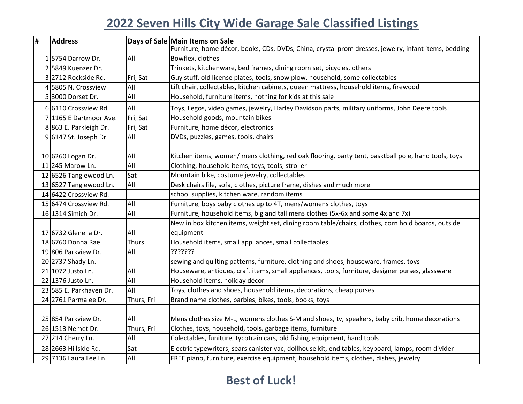## **2022 Seven Hills City Wide Garage Sale Classified Listings**

| <u>#</u> | <b>Address</b>          |              | Days of Sale Main Items on Sale                                                                      |
|----------|-------------------------|--------------|------------------------------------------------------------------------------------------------------|
|          |                         |              | Furniture, home décor, books, CDs, DVDs, China, crystal prom dresses, jewelry, infant items, bedding |
|          | 1 5754 Darrow Dr.       | All          | Bowflex, clothes                                                                                     |
|          | 2 5849 Kuenzer Dr.      |              | Trinkets, kitchenware, bed frames, dining room set, bicycles, others                                 |
|          | 3 2712 Rockside Rd.     | Fri, Sat     | Guy stuff, old license plates, tools, snow plow, household, some collectables                        |
|          | 4 5805 N. Crossview     | All          | Lift chair, collectables, kitchen cabinets, queen mattress, household items, firewood                |
|          | 5 3000 Dorset Dr.       | All          | Household, furniture items, nothing for kids at this sale                                            |
|          | 6 6110 Crossview Rd.    | All          | Toys, Legos, video games, jewelry, Harley Davidson parts, military uniforms, John Deere tools        |
|          | 7 1165 E Dartmoor Ave.  | Fri, Sat     | Household goods, mountain bikes                                                                      |
|          | 8863 E. Parkleigh Dr.   | Fri, Sat     | Furniture, home décor, electronics                                                                   |
|          | $9 6147$ St. Joseph Dr. | All          | DVDs, puzzles, games, tools, chairs                                                                  |
|          |                         |              |                                                                                                      |
|          | 10 6260 Logan Dr.       | All          | Kitchen items, women/ mens clothing, red oak flooring, party tent, basktball pole, hand tools, toys  |
|          | 11 245 Marow Ln.        | All          | Clothing, household items, toys, tools, stroller                                                     |
|          | 12 6526 Tanglewood Ln.  | Sat          | Mountain bike, costume jewelry, collectables                                                         |
|          | 13 6527 Tanglewood Ln.  | All          | Desk chairs file, sofa, clothes, picture frame, dishes and much more                                 |
|          | 14 6422 Crossview Rd.   |              | school supplies, kitchen ware, random items                                                          |
|          | 15 6474 Crossview Rd.   | All          | Furniture, boys baby clothes up to 4T, mens/womens clothes, toys                                     |
|          | 16 1314 Simich Dr.      | All          | Furniture, household items, big and tall mens clothes (5x-6x and some 4x and 7x)                     |
|          |                         |              | New in box kitchen items, weight set, dining room table/chairs, clothes, corn hold boards, outside   |
|          | 17 6732 Glenella Dr.    | All          | equipment                                                                                            |
|          | 18 6760 Donna Rae       | <b>Thurs</b> | Household items, small appliances, small collectables                                                |
|          | 19806 Parkview Dr.      | All          | ???????                                                                                              |
|          | 20 2737 Shady Ln.       |              | sewing and quilting patterns, furniture, clothing and shoes, houseware, frames, toys                 |
|          | 21 1072 Justo Ln.       | All          | Houseware, antiques, craft items, small appliances, tools, furniture, designer purses, glassware     |
|          | 22 1376 Justo Ln.       | All          | Household items, holiday décor                                                                       |
|          | 23 585 E. Parkhaven Dr. | All          | Toys, clothes and shoes, household items, decorations, cheap purses                                  |
|          | 24 2761 Parmalee Dr.    | Thurs, Fri   | Brand name clothes, barbies, bikes, tools, books, toys                                               |
|          |                         |              |                                                                                                      |
|          | 25 854 Parkview Dr.     | All          | Mens clothes size M-L, womens clothes S-M and shoes, tv, speakers, baby crib, home decorations       |
|          | 26 1513 Nemet Dr.       | Thurs, Fri   | Clothes, toys, household, tools, garbage items, furniture                                            |
|          | 27 214 Cherry Ln.       | All          | Colectables, funiture, tycotrain cars, old fishing equipment, hand tools                             |
|          | 28 2663 Hillside Rd.    | Sat          | Electric typewriters, sears canister vac, dollhouse kit, end tables, keyboard, lamps, room divider   |
|          | 29 7136 Laura Lee Ln.   | All          | FREE piano, furniture, exercise equipment, household items, clothes, dishes, jewelry                 |

## **Best of Luck!**